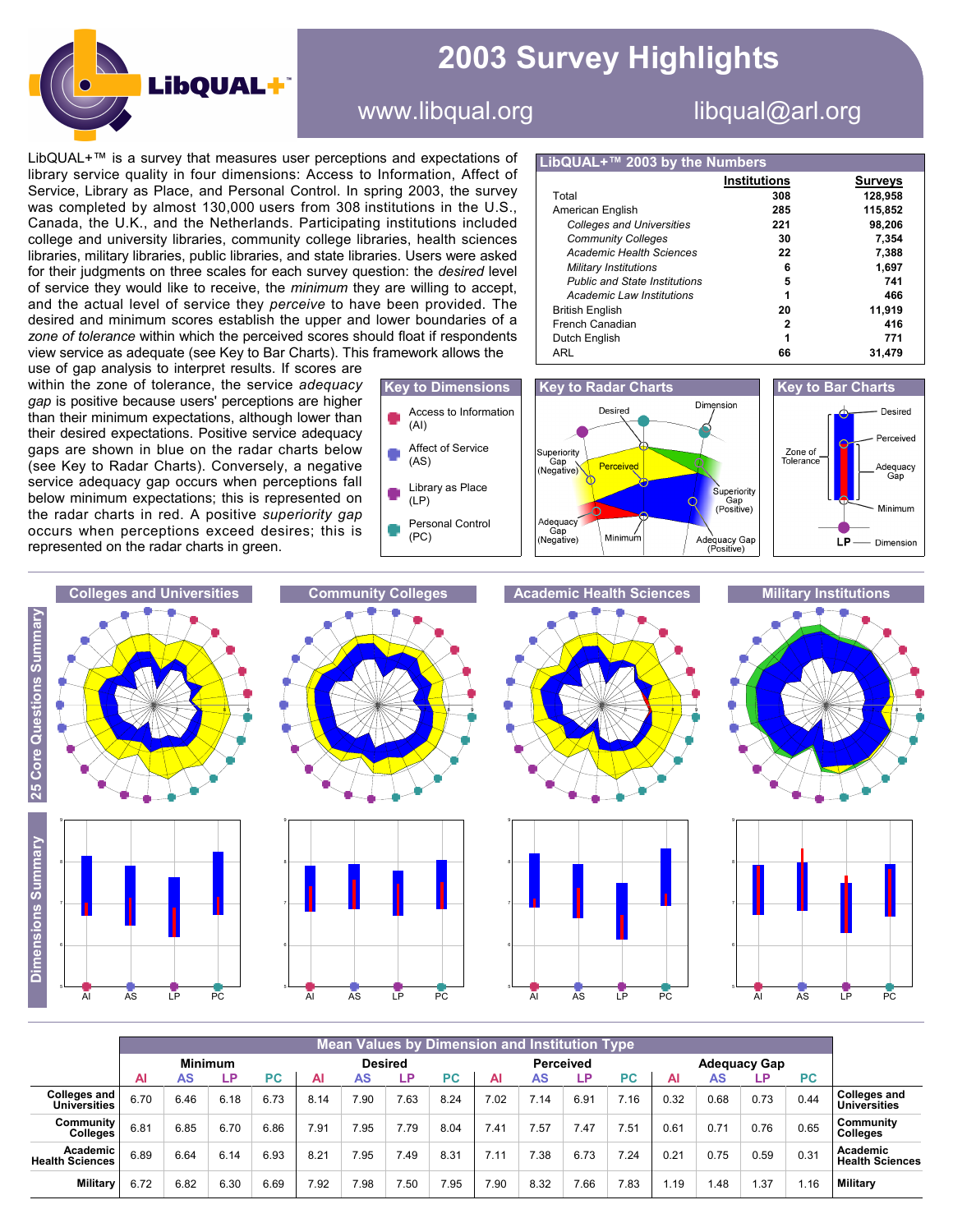

## **2003 Survey Highlights**

## www.libqual.org libqual@arl.org

LibQUAL+™ is a survey that measures user perceptions and expectations of library service quality in four dimensions: Access to Information, Affect of Service, Library as Place, and Personal Control. In spring 2003, the survey was completed by almost 130,000 users from 308 institutions in the U.S., Canada, the U.K., and the Netherlands. Participating institutions included college and university libraries, community college libraries, health sciences libraries, military libraries, public libraries, and state libraries. Users were asked for their judgments on three scales for each survey question: the *desired* level of service they would like to receive, the *minimum* they are willing to accept, and the actual level of service they *perceive* to have been provided. The desired and minimum scores establish the upper and lower boundaries of a *zone of tolerance* within which the perceived scores should float if respondents view service as adequate (see Key to Bar Charts). This framework allows the

use of gap analysis to interpret results. If scores are within the zone of tolerance, the service *adequacy gap* is positive because users' perceptions are higher than their minimum expectations, although lower than their desired expectations. Positive service adequacy gaps are shown in blue on the radar charts below (see Key to Radar Charts). Conversely, a negative service adequacy gap occurs when perceptions fall below minimum expectations; this is represented on the radar charts in red. A positive *superiority gap* occurs when perceptions exceed desires; this is represented on the radar charts in green.



## **LibQUAL+™ 2003 by the Numbers**

|                                      | <b>Institutions</b> | Surveys |
|--------------------------------------|---------------------|---------|
| Total                                | 308                 | 128,958 |
| American English                     | 285                 | 115.852 |
| <b>Colleges and Universities</b>     | 221                 | 98.206  |
| <b>Community Colleges</b>            | 30                  | 7.354   |
| Academic Health Sciences             | 22                  | 7.388   |
| Military Institutions                | 6                   | 1,697   |
| <b>Public and State Institutions</b> | 5                   | 741     |
| Academic Law Institutions            |                     | 466     |
| <b>British English</b>               | 20                  | 11.919  |
| French Canadian                      | 2                   | 416     |
| Dutch English                        | 1                   | 771     |
| ARL                                  | 66                  | 31.479  |







|                                      | <b>Mean Values by Dimension and Institution Type</b> |      |      |                |      |      |      |                  |      |      |                     |      |      |      |      |           |                                      |
|--------------------------------------|------------------------------------------------------|------|------|----------------|------|------|------|------------------|------|------|---------------------|------|------|------|------|-----------|--------------------------------------|
|                                      | <b>Minimum</b>                                       |      |      | <b>Desired</b> |      |      |      | <b>Perceived</b> |      |      | <b>Adequacy Gap</b> |      |      |      |      |           |                                      |
|                                      | ΑI                                                   | AS   | LP.  | <b>PC</b>      | Al   | AS   | LP   | <b>PC</b>        | Al   | AS   | LР                  | PС   | Al   | AS   | _P.  | <b>PC</b> |                                      |
| <b>Colleges and<br/>Universities</b> | 6.70                                                 | 6.46 | 6.18 | 6.73           | 8.14 | 7.90 | 7.63 | 8.24             | 7.02 | 7.14 | 6.91                | 7.16 | 0.32 | 0.68 | 0.73 | 0.44      | <b>Colleges and<br/>Universities</b> |
| Community<br>Colleges                | 6.81                                                 | 6.85 | 6.70 | 6.86           | 7.91 | 7.95 | 7.79 | 8.04             | 7.41 | 7.57 | 7.47                | 7.51 | 0.61 | 0.71 | 0.76 | 0.65      | Community<br><b>Colleges</b>         |
| Academic<br><b>Health Sciences</b>   | 6.89                                                 | 6.64 | 6.14 | 6.93           | 8.21 | 7.95 | 7.49 | 8.31             | 7.11 | 7.38 | 6.73                | 7.24 | 0.21 | 0.75 | 0.59 | 0.31      | Academic<br><b>Health Sciences</b>   |
| <b>Military</b>                      | 6.72                                                 | 6.82 | 6.30 | 6.69           | 7.92 | 7.98 | 7.50 | 7.95             | 7.90 | 8.32 | 7.66                | 7.83 | .19  | 1.48 | .37  | 1.16      | <b>Military</b>                      |